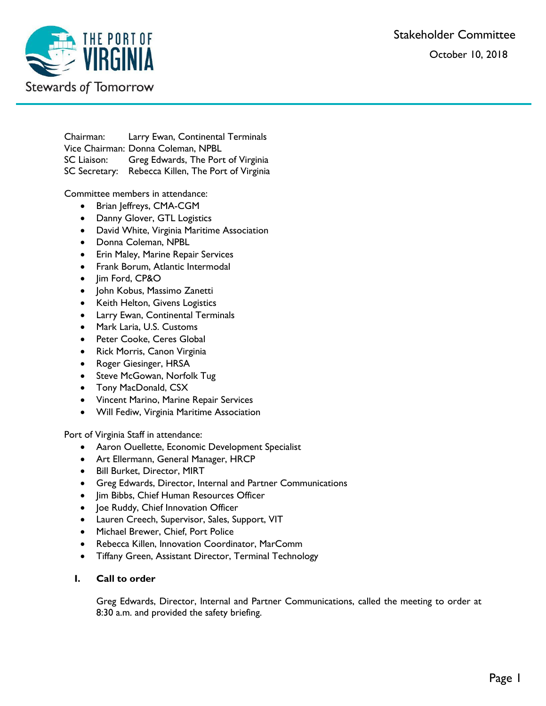Stakeholder Committee

October 10, 2018



Chairman: Larry Ewan, Continental Terminals Vice Chairman: Donna Coleman, NPBL SC Liaison: Greg Edwards, The Port of Virginia SC Secretary: Rebecca Killen, The Port of Virginia

Committee members in attendance:

- Brian Jeffreys, CMA-CGM
- Danny Glover, GTL Logistics
- David White, Virginia Maritime Association
- Donna Coleman, NPBL
- **•** Erin Maley, Marine Repair Services
- Frank Borum, Atlantic Intermodal
- Jim Ford, CP&O
- John Kobus, Massimo Zanetti
- Keith Helton, Givens Logistics
- Larry Ewan, Continental Terminals
- Mark Laria, U.S. Customs
- Peter Cooke, Ceres Global
- Rick Morris, Canon Virginia
- Roger Giesinger, HRSA
- Steve McGowan, Norfolk Tug
- Tony MacDonald, CSX
- Vincent Marino, Marine Repair Services
- Will Fediw, Virginia Maritime Association

Port of Virginia Staff in attendance:

- Aaron Ouellette, Economic Development Specialist
- Art Ellermann, General Manager, HRCP
- Bill Burket, Director, MIRT
- Greg Edwards, Director, Internal and Partner Communications
- Jim Bibbs, Chief Human Resources Officer
- Joe Ruddy, Chief Innovation Officer
- Lauren Creech, Supervisor, Sales, Support, VIT
- Michael Brewer, Chief, Port Police
- Rebecca Killen, Innovation Coordinator, MarComm
- Tiffany Green, Assistant Director, Terminal Technology
- **I. Call to order**

Greg Edwards, Director, Internal and Partner Communications, called the meeting to order at 8:30 a.m. and provided the safety briefing.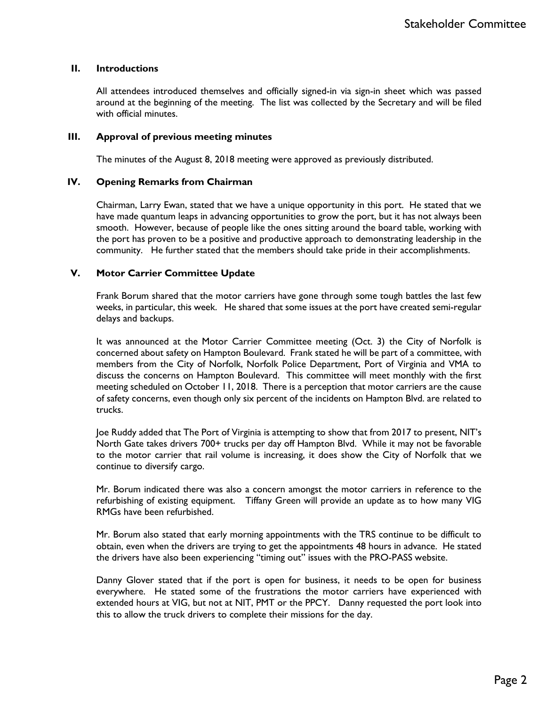### **II. Introductions**

All attendees introduced themselves and officially signed-in via sign-in sheet which was passed around at the beginning of the meeting. The list was collected by the Secretary and will be filed with official minutes.

### **III. Approval of previous meeting minutes**

The minutes of the August 8, 2018 meeting were approved as previously distributed.

### **IV. Opening Remarks from Chairman**

Chairman, Larry Ewan, stated that we have a unique opportunity in this port. He stated that we have made quantum leaps in advancing opportunities to grow the port, but it has not always been smooth. However, because of people like the ones sitting around the board table, working with the port has proven to be a positive and productive approach to demonstrating leadership in the community. He further stated that the members should take pride in their accomplishments.

### **V. Motor Carrier Committee Update**

Frank Borum shared that the motor carriers have gone through some tough battles the last few weeks, in particular, this week. He shared that some issues at the port have created semi-regular delays and backups.

It was announced at the Motor Carrier Committee meeting (Oct. 3) the City of Norfolk is concerned about safety on Hampton Boulevard. Frank stated he will be part of a committee, with members from the City of Norfolk, Norfolk Police Department, Port of Virginia and VMA to discuss the concerns on Hampton Boulevard. This committee will meet monthly with the first meeting scheduled on October 11, 2018. There is a perception that motor carriers are the cause of safety concerns, even though only six percent of the incidents on Hampton Blvd. are related to trucks.

Joe Ruddy added that The Port of Virginia is attempting to show that from 2017 to present, NIT's North Gate takes drivers 700+ trucks per day off Hampton Blvd. While it may not be favorable to the motor carrier that rail volume is increasing, it does show the City of Norfolk that we continue to diversify cargo.

Mr. Borum indicated there was also a concern amongst the motor carriers in reference to the refurbishing of existing equipment. Tiffany Green will provide an update as to how many VIG RMGs have been refurbished.

Mr. Borum also stated that early morning appointments with the TRS continue to be difficult to obtain, even when the drivers are trying to get the appointments 48 hours in advance. He stated the drivers have also been experiencing "timing out" issues with the PRO-PASS website.

Danny Glover stated that if the port is open for business, it needs to be open for business everywhere. He stated some of the frustrations the motor carriers have experienced with extended hours at VIG, but not at NIT, PMT or the PPCY. Danny requested the port look into this to allow the truck drivers to complete their missions for the day.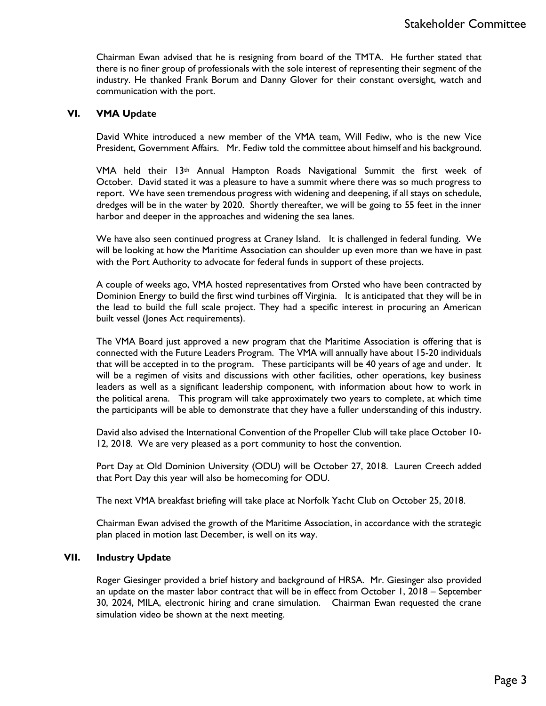Chairman Ewan advised that he is resigning from board of the TMTA. He further stated that there is no finer group of professionals with the sole interest of representing their segment of the industry. He thanked Frank Borum and Danny Glover for their constant oversight, watch and communication with the port.

### **VI. VMA Update**

David White introduced a new member of the VMA team, Will Fediw, who is the new Vice President, Government Affairs. Mr. Fediw told the committee about himself and his background.

VMA held their  $13<sup>th</sup>$  Annual Hampton Roads Navigational Summit the first week of October. David stated it was a pleasure to have a summit where there was so much progress to report. We have seen tremendous progress with widening and deepening, if all stays on schedule, dredges will be in the water by 2020. Shortly thereafter, we will be going to 55 feet in the inner harbor and deeper in the approaches and widening the sea lanes.

We have also seen continued progress at Craney Island. It is challenged in federal funding. We will be looking at how the Maritime Association can shoulder up even more than we have in past with the Port Authority to advocate for federal funds in support of these projects.

A couple of weeks ago, VMA hosted representatives from Orsted who have been contracted by Dominion Energy to build the first wind turbines off Virginia. It is anticipated that they will be in the lead to build the full scale project. They had a specific interest in procuring an American built vessel (Jones Act requirements).

The VMA Board just approved a new program that the Maritime Association is offering that is connected with the Future Leaders Program. The VMA will annually have about 15-20 individuals that will be accepted in to the program. These participants will be 40 years of age and under. It will be a regimen of visits and discussions with other facilities, other operations, key business leaders as well as a significant leadership component, with information about how to work in the political arena. This program will take approximately two years to complete, at which time the participants will be able to demonstrate that they have a fuller understanding of this industry.

David also advised the International Convention of the Propeller Club will take place October 10- 12, 2018. We are very pleased as a port community to host the convention.

Port Day at Old Dominion University (ODU) will be October 27, 2018. Lauren Creech added that Port Day this year will also be homecoming for ODU.

The next VMA breakfast briefing will take place at Norfolk Yacht Club on October 25, 2018.

Chairman Ewan advised the growth of the Maritime Association, in accordance with the strategic plan placed in motion last December, is well on its way.

### **VII. Industry Update**

Roger Giesinger provided a brief history and background of HRSA. Mr. Giesinger also provided an update on the master labor contract that will be in effect from October 1, 2018 – September 30, 2024, MILA, electronic hiring and crane simulation. Chairman Ewan requested the crane simulation video be shown at the next meeting.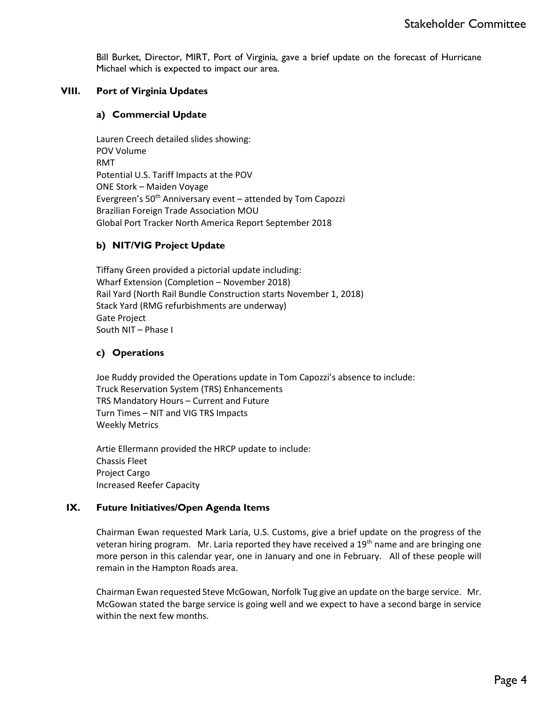Bill Burket, Director, MIRT, Port of Virginia, gave a brief update on the forecast of Hurricane Michael which is expected to impact our area.

# **VIII. Port of Virginia Updates**

### **a) Commercial Update**

Lauren Creech detailed slides showing: POV Volume RMT Potential U.S. Tariff Impacts at the POV ONE Stork – Maiden Voyage Evergreen's  $50<sup>th</sup>$  Anniversary event – attended by Tom Capozzi Brazilian Foreign Trade Association MOU Global Port Tracker North America Report September 2018

# **b) NIT/VIG Project Update**

Tiffany Green provided a pictorial update including: Wharf Extension (Completion – November 2018) Rail Yard (North Rail Bundle Construction starts November 1, 2018) Stack Yard (RMG refurbishments are underway) Gate Project South NIT – Phase I

## **c) Operations**

Joe Ruddy provided the Operations update in Tom Capozzi's absence to include: Truck Reservation System (TRS) Enhancements TRS Mandatory Hours – Current and Future Turn Times – NIT and VIG TRS Impacts Weekly Metrics

Artie Ellermann provided the HRCP update to include: Chassis Fleet Project Cargo Increased Reefer Capacity

## **IX. Future Initiatives/Open Agenda Items**

Chairman Ewan requested Mark Laria, U.S. Customs, give a brief update on the progress of the veteran hiring program. Mr. Laria reported they have received a 19<sup>th</sup> name and are bringing one more person in this calendar year, one in January and one in February. All of these people will remain in the Hampton Roads area.

Chairman Ewan requested Steve McGowan, Norfolk Tug give an update on the barge service. Mr. McGowan stated the barge service is going well and we expect to have a second barge in service within the next few months.